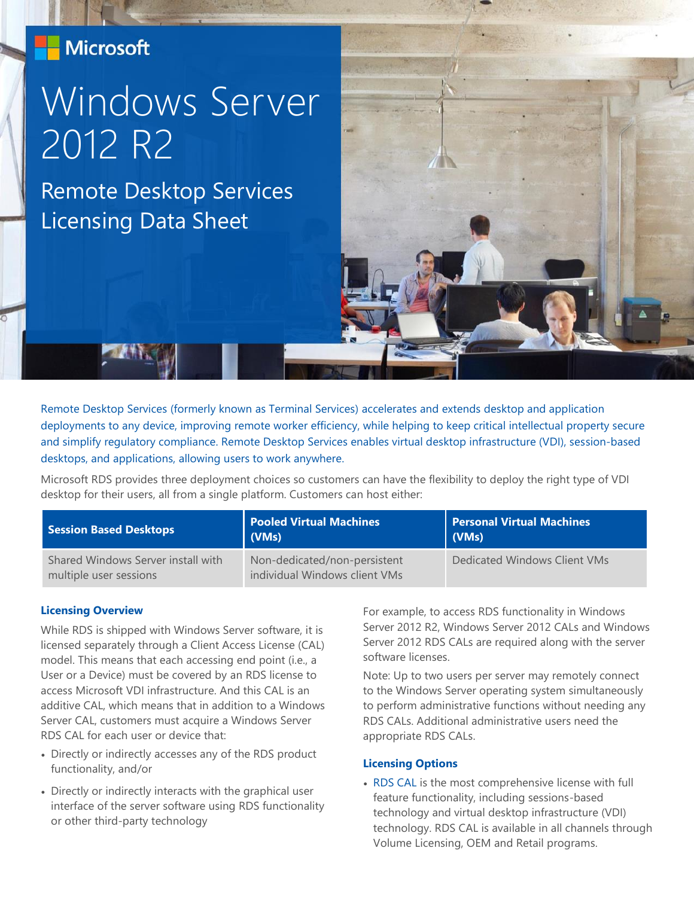### **Microsoft**

# Windows Server 2012 R2

Remote Desktop Services Licensing Data Sheet



Remote Desktop Services (formerly known as Terminal Services) accelerates and extends desktop and application deployments to any device, improving remote worker efficiency, while helping to keep critical intellectual property secure and simplify regulatory compliance. Remote Desktop Services enables virtual desktop infrastructure (VDI), session-based desktops, and applications, allowing users to work anywhere.

Microsoft RDS provides three deployment choices so customers can have the flexibility to deploy the right type of VDI desktop for their users, all from a single platform. Customers can host either:

| <b>Session Based Desktops</b>                                | <b>Pooled Virtual Machines</b><br>(VMs)                       | <b>Personal Virtual Machines</b><br>$ $ (VMs) |
|--------------------------------------------------------------|---------------------------------------------------------------|-----------------------------------------------|
| Shared Windows Server install with<br>multiple user sessions | Non-dedicated/non-persistent<br>individual Windows client VMs | Dedicated Windows Client VMs                  |

#### **Licensing Overview**

While RDS is shipped with Windows Server software, it is licensed separately through a Client Access License (CAL) model. This means that each accessing end point (i.e., a User or a Device) must be covered by an RDS license to access Microsoft VDI infrastructure. And this CAL is an additive CAL, which means that in addition to a Windows Server CAL, customers must acquire a Windows Server RDS CAL for each user or device that:

- Directly or indirectly accesses any of the RDS product functionality, and/or
- Directly or indirectly interacts with the graphical user interface of the server software using RDS functionality or other third-party technology

For example, to access RDS functionality in Windows Server 2012 R2, Windows Server 2012 CALs and Windows Server 2012 RDS CALs are required along with the server software licenses.

Note: Up to two users per server may remotely connect to the Windows Server operating system simultaneously to perform administrative functions without needing any RDS CALs. Additional administrative users need the appropriate RDS CALs.

#### **Licensing Options**

 RDS CAL is the most comprehensive license with full feature functionality, including sessions-based technology and virtual desktop infrastructure (VDI) technology. RDS CAL is available in all channels through Volume Licensing, OEM and Retail programs.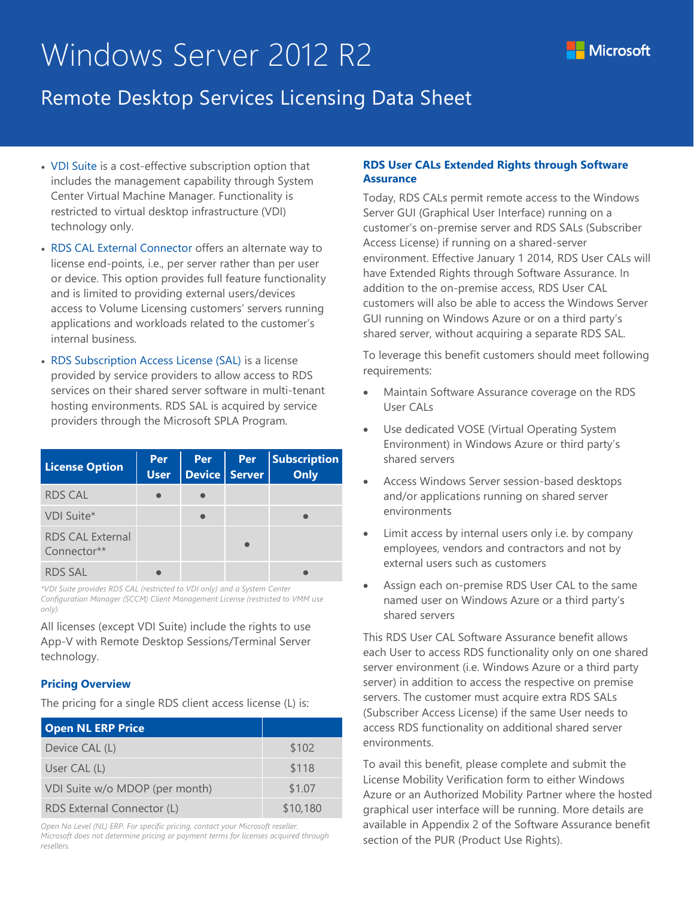## Windows Server 2012 R2



### Remote Desktop Services Licensing Data Sheet

- VDI Suite is a cost-effective subscription option that includes the management capability through System Center Virtual Machine Manager. Functionality is restricted to virtual desktop infrastructure (VDI) technology only.
- RDS CAL External Connector offers an alternate way to license end-points, i.e., per server rather than per user or device. This option provides full feature functionality and is limited to providing external users/devices access to Volume Licensing customers' servers running applications and workloads related to the customer's internal business.
- RDS Subscription Access License (SAL) is a license provided by service providers to allow access to RDS services on their shared server software in multi-tenant hosting environments. RDS SAL is acquired by service providers through the Microsoft SPLA Program.

| <b>License Option</b>                  | Per<br><b>User</b> | Per<br>$\vert$ Device $\vert$ Server | <b>Per</b> | <b>Subscription</b><br>Only |
|----------------------------------------|--------------------|--------------------------------------|------------|-----------------------------|
| <b>RDS CAL</b>                         |                    |                                      |            |                             |
| VDI Suite*                             |                    |                                      |            |                             |
| <b>RDS CAL External</b><br>Connector** |                    |                                      |            |                             |
| <b>RDS SAL</b>                         |                    |                                      |            |                             |

*\*VDI Suite provides RDS CAL (restricted to VDI only) and a System Center Configuration Manager (SCCM) Client Management License (restricted to VMM use only).*

All licenses (except VDI Suite) include the rights to use App-V with Remote Desktop Sessions/Terminal Server technology.

#### **Pricing Overview**

The pricing for a single RDS client access license (L) is:

| <b>Open NL ERP Price</b>       |          |
|--------------------------------|----------|
| Device CAL (L)                 | \$102    |
| User CAL (L)                   | \$118    |
| VDI Suite w/o MDOP (per month) | \$1.07   |
| RDS External Connector (L)     | \$10,180 |

*Open No Level (NL) ERP. For specific pricing, contact your Microsoft reseller. Microsoft does not determine pricing or payment terms for licenses acquired through resellers.*

#### **RDS User CALs Extended Rights through Software Assurance**

Today, RDS CALs permit remote access to the Windows Server GUI (Graphical User Interface) running on a customer's on-premise server and RDS SALs (Subscriber Access License) if running on a shared-server environment. Effective January 1 2014, RDS User CALs will have Extended Rights through Software Assurance. In addition to the on-premise access, RDS User CAL customers will also be able to access the Windows Server GUI running on Windows Azure or on a third party's shared server, without acquiring a separate RDS SAL.

To leverage this benefit customers should meet following requirements:

- Maintain Software Assurance coverage on the RDS User CALs
- Use dedicated VOSE (Virtual Operating System Environment) in Windows Azure or third party's shared servers
- Access Windows Server session-based desktops and/or applications running on shared server environments
- Limit access by internal users only i.e. by company employees, vendors and contractors and not by external users such as customers
- Assign each on-premise RDS User CAL to the same named user on Windows Azure or a third party's shared servers

This RDS User CAL Software Assurance benefit allows each User to access RDS functionality only on one shared server environment (i.e. Windows Azure or a third party server) in addition to access the respective on premise servers. The customer must acquire extra RDS SALs (Subscriber Access License) if the same User needs to access RDS functionality on additional shared server environments.

To avail this benefit, please complete and submit the License Mobility Verification form to either Windows Azure or an Authorized Mobility Partner where the hosted graphical user interface will be running. More details are available in Appendix 2 of the Software Assurance benefit section of the PUR (Product Use Rights).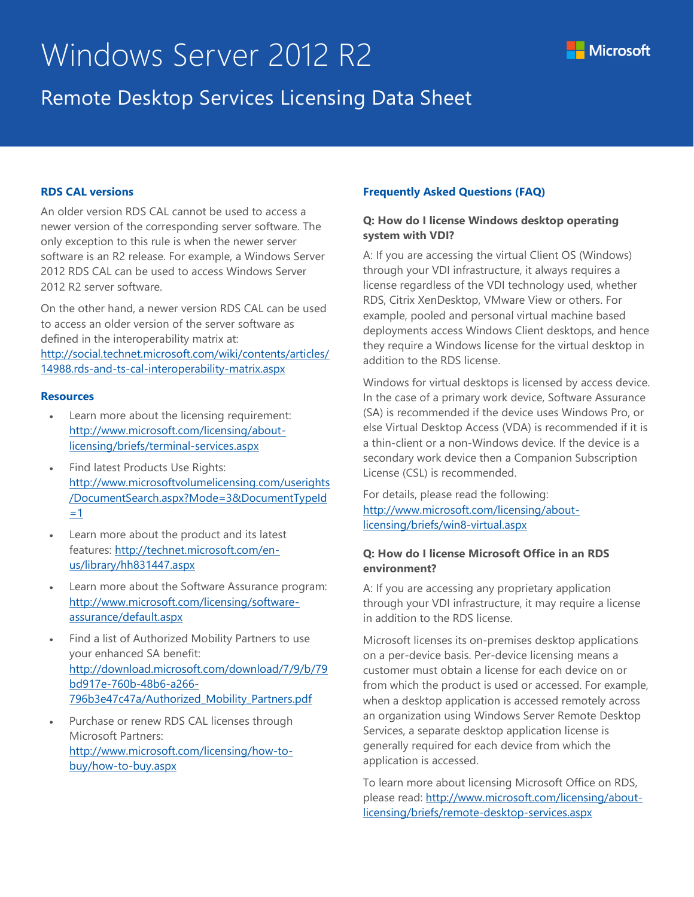## Windows Server 2012 R2



#### **RDS CAL versions**

An older version RDS CAL cannot be used to access a newer version of the corresponding server software. The only exception to this rule is when the newer server software is an R2 release. For example, a Windows Server 2012 RDS CAL can be used to access Windows Server 2012 R2 server software.

On the other hand, a newer version RDS CAL can be used to access an older version of the server software as defined in the interoperability matrix at: [http://social.technet.microsoft.com/wiki/contents/articles/](http://social.technet.microsoft.com/wiki/contents/articles/14988.rds-and-ts-cal-interoperability-matrix.aspx) [14988.rds-and-ts-cal-interoperability-matrix.aspx](http://social.technet.microsoft.com/wiki/contents/articles/14988.rds-and-ts-cal-interoperability-matrix.aspx) 

#### **Resources**

- Learn more about the licensing requirement: [http://www.microsoft.com/licensing/about](http://www.microsoft.com/licensing/about-licensing/briefs/terminal-services.aspx)[licensing/briefs/terminal-services.aspx](http://www.microsoft.com/licensing/about-licensing/briefs/terminal-services.aspx)
- Find latest Products Use Rights: [http://www.microsoftvolumelicensing.com/userights](http://www.microsoftvolumelicensing.com/userights/DocumentSearch.aspx?Mode=3&DocumentTypeId=1) [/DocumentSearch.aspx?Mode=3&DocumentTypeId](http://www.microsoftvolumelicensing.com/userights/DocumentSearch.aspx?Mode=3&DocumentTypeId=1) [=1](http://www.microsoftvolumelicensing.com/userights/DocumentSearch.aspx?Mode=3&DocumentTypeId=1)
- Learn more about the product and its latest features: [http://technet.microsoft.com/en](http://technet.microsoft.com/en-us/library/hh831447.aspx)[us/library/hh831447.aspx](http://technet.microsoft.com/en-us/library/hh831447.aspx)
- Learn more about the Software Assurance program: [http://www.microsoft.com/licensing/software](http://www.microsoft.com/licensing/software-assurance/default.aspx)[assurance/default.aspx](http://www.microsoft.com/licensing/software-assurance/default.aspx)
- Find a list of Authorized Mobility Partners to use your enhanced SA benefit: http:/[/download.microsoft.com/download/7/9/b/79](http://download.microsoft.com/download/7/9/b/79bd917e-760b-48b6-a266-796b3e47c47a/Authorized_Mobility_Partners.pdf) [bd917e-760b-48b6-a266-](http://download.microsoft.com/download/7/9/b/79bd917e-760b-48b6-a266-796b3e47c47a/Authorized_Mobility_Partners.pdf) [796b3e47c47a/Authorized\\_Mobility\\_Partners.pdf](http://download.microsoft.com/download/7/9/b/79bd917e-760b-48b6-a266-796b3e47c47a/Authorized_Mobility_Partners.pdf)
- Purchase or renew RDS CAL licenses through Microsoft Partners: [http://www.microsoft.com/licensing/how-to](http://www.microsoft.com/licensing/how-to-buy/how-to-buy.aspx)[buy/how-to-buy.aspx](http://www.microsoft.com/licensing/how-to-buy/how-to-buy.aspx)

#### **Frequently Asked Questions (FAQ)**

#### **Q: How do I license Windows desktop operating system with VDI?**

A: If you are accessing the virtual Client OS (Windows) through your VDI infrastructure, it always requires a license regardless of the VDI technology used, whether RDS, Citrix XenDesktop, VMware View or others. For example, pooled and personal virtual machine based deployments access Windows Client desktops, and hence they require a Windows license for the virtual desktop in addition to the RDS license.

Windows for virtual desktops is licensed by access device. In the case of a primary work device, Software Assurance (SA) is recommended if the device uses Windows Pro, or else Virtual Desktop Access (VDA) is recommended if it is a thin-client or a non-Windows device. If the device is a secondary work device then a Companion Subscription License (CSL) is recommended.

For details, please read the following: [http://www.microsoft.com/licensing/about](http://www.microsoft.com/licensing/about-licensing/briefs/win8-virtual.aspx)[licensing/briefs/win8-virtual.aspx](http://www.microsoft.com/licensing/about-licensing/briefs/win8-virtual.aspx)

#### **Q: How do I license Microsoft Office in an RDS environment?**

A: If you are accessing any proprietary application through your VDI infrastructure, it may require a license in addition to the RDS license.

Microsoft licenses its on-premises desktop applications on a per-device basis. Per-device licensing means a customer must obtain a license for each device on or from which the product is used or accessed. For example, when a desktop application is accessed remotely across an organization using Windows Server Remote Desktop Services, a separate desktop application license is generally required for each device from which the application is accessed.

To learn more about licensing Microsoft Office on RDS, please read: [http://www.microsoft.com/licensing/about](http://www.microsoft.com/licensing/about-licensing/briefs/remote-desktop-services.aspx)[licensing/briefs/remote-desktop-services.aspx](http://www.microsoft.com/licensing/about-licensing/briefs/remote-desktop-services.aspx)